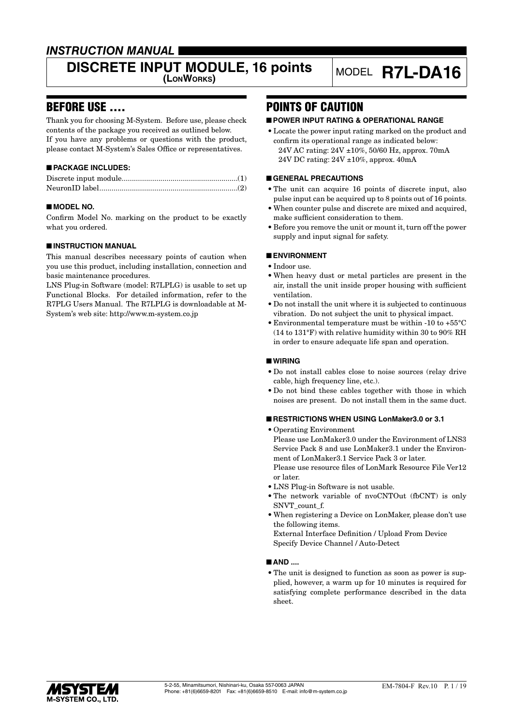### *INSTRUCTION MANUAL*

# **DISCRETE INPUT MODULE, 16 points** MODEL **R7L-DA16**

### BEFORE USE ....

Thank you for choosing M-System. Before use, please check contents of the package you received as outlined below. If you have any problems or questions with the product, please contact M-System's Sales Office or representatives.

#### ■ **PACKAGE INCLUDES:**

#### ■ **MODEL NO.**

Confirm Model No. marking on the product to be exactly what you ordered.

#### ■ **INSTRUCTION MANUAL**

This manual describes necessary points of caution when you use this product, including installation, connection and basic maintenance procedures.

LNS Plug-in Software (model: R7LPLG) is usable to set up Functional Blocks. For detailed information, refer to the R7PLG Users Manual. The R7LPLG is downloadable at M-System's web site: http://www.m-system.co.jp

### POINTS OF CAUTION

#### ■ **POWER INPUT RATING & OPERATIONAL RANGE**

• Locate the power input rating marked on the product and confirm its operational range as indicated below: 24V AC rating: 24V ±10%, 50/60 Hz, approx. 70mA 24V DC rating: 24V ±10%, approx. 40mA

#### ■ **GENERAL PRECAUTIONS**

- The unit can acquire 16 points of discrete input, also pulse input can be acquired up to 8 points out of 16 points.
- When counter pulse and discrete are mixed and acquired, make sufficient consideration to them.
- Before you remove the unit or mount it, turn off the power supply and input signal for safety.

#### ■ **ENVIRONMENT**

- Indoor use.
- When heavy dust or metal particles are present in the air, install the unit inside proper housing with sufficient ventilation.
- Do not install the unit where it is subjected to continuous vibration. Do not subject the unit to physical impact.
- Environmental temperature must be within -10 to +55°C (14 to 131°F) with relative humidity within 30 to 90% RH in order to ensure adequate life span and operation.

#### ■ **WIRING**

- Do not install cables close to noise sources (relay drive cable, high frequency line, etc.).
- Do not bind these cables together with those in which noises are present. Do not install them in the same duct.

#### ■ **RESTRICTIONS WHEN USING LonMaker3.0 or 3.1**

- Operating Environment Please use LonMaker3.0 under the Environment of LNS3 Service Pack 8 and use LonMaker3.1 under the Environment of LonMaker3.1 Service Pack 3 or later. Please use resource files of LonMark Resource File Ver12 or later.
- LNS Plug-in Software is not usable.
- The network variable of nvoCNTOut (fbCNT) is only SNVT\_count\_f.
- When registering a Device on LonMaker, please don't use the following items.

External Interface Definition / Upload From Device Specify Device Channel / Auto-Detect

#### ■ **AND ....**

• The unit is designed to function as soon as power is supplied, however, a warm up for 10 minutes is required for satisfying complete performance described in the data sheet.

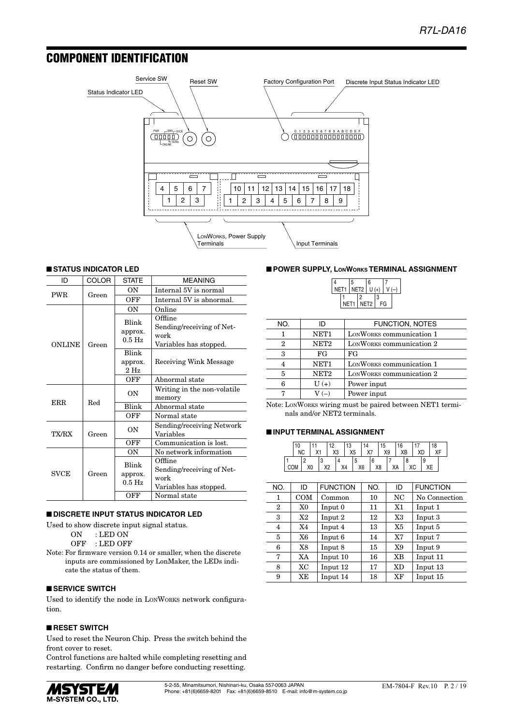### COMPONENT IDENTIFICATION



#### ■ **STATUS INDICATOR LED**

| ID            | <b>COLOR</b> | <b>STATE</b>                              | <b>MEANING</b>                                                                         |
|---------------|--------------|-------------------------------------------|----------------------------------------------------------------------------------------|
| <b>PWR</b>    | Green        | OΝ                                        | Internal 5V is normal                                                                  |
|               |              | OFF                                       | Internal 5V is abnormal.                                                               |
|               |              | <b>ON</b>                                 | Online                                                                                 |
| <b>ONLINE</b> | Green        | Blink<br>approx.<br>$0.5$ Hz              | Offline<br>Sending/receiving of Net-<br>work<br>Variables has stopped.                 |
|               |              | <b>Blink</b><br>approx.<br>$2 \text{ Hz}$ | Receiving Wink Message                                                                 |
|               |              | OFF                                       | Abnormal state                                                                         |
|               |              | OΝ                                        | Writing in the non-volatile<br>memory                                                  |
| ERR.          | Red          | Blink                                     | Abnormal state                                                                         |
|               |              | OFF                                       | Normal state                                                                           |
| TX/RX         | Green        | OΝ                                        | Sending/receiving Network<br>Variables                                                 |
|               |              | OFF                                       | Communication is lost.                                                                 |
|               |              | OΝ                                        | No network information                                                                 |
| <b>SVCE</b>   | Green        | Blink<br>approx.<br>$0.5$ Hz<br>OFF       | Offline<br>Sending/receiving of Net-<br>work<br>Variables has stopped.<br>Normal state |
|               |              |                                           |                                                                                        |

#### ■ **DISCRETE INPUT STATUS INDICATOR LED**

Used to show discrete input signal status.

ON : LED ON

OFF : LED OFF

Note: For firmware version 0.14 or smaller, when the discrete inputs are commissioned by LonMaker, the LEDs indicate the status of them.

#### ■ **SERVICE SWITCH**

Used to identify the node in LONWORKS network configuration.

#### ■ **RESET SWITCH**

Used to reset the Neuron Chip. Press the switch behind the front cover to reset.

Control functions are halted while completing resetting and restarting. Confirm no danger before conducting resetting.



#### ■ **POWER SUPPLY, LONWORKS TERMINAL ASSIGNMENT**

|                      | 5    |  | 6                |   |    |  |
|----------------------|------|--|------------------|---|----|--|
| NET1   NET2 $ U(+) $ |      |  |                  |   |    |  |
|                      |      |  |                  | З |    |  |
|                      | NET1 |  | NET <sub>2</sub> |   | FG |  |

| NO. | ID               | FUNCTION, NOTES          |
|-----|------------------|--------------------------|
|     | NET <sub>1</sub> | LONWORKS communication 1 |
| 2   | NET <sub>2</sub> | LONWORKS communication 2 |
| 3   | FG               | FG                       |
| 4   | NET <sub>1</sub> | LONWORKS communication 1 |
| 5   | NET <sub>2</sub> | LONWORKS communication 2 |
| 6   | $U(+)$           | Power input              |
|     | $V(-)$           | Power input              |

Note: LONWORKS wiring must be paired between NET1 terminals and/or NET2 terminals.

#### ■ **INPUT TERMINAL ASSIGNMENT**

|  | 10<br><b>NC</b> |    | $\vee$ |                               | 12<br>X3 |    | 13<br>X <sub>5</sub> |    | 14<br>X7 |    | 15<br>X9 | 16<br>XB |    | XD | 18 |  |
|--|-----------------|----|--------|-------------------------------|----------|----|----------------------|----|----------|----|----------|----------|----|----|----|--|
|  |                 | ΧU |        | υ<br>V <sub>0</sub><br>$\sim$ |          | X4 |                      | X6 |          | X8 |          | XA       | ХC | 9  |    |  |

| NO.          | ID  | <b>FUNCTION</b> | NO. | ID        | <b>FUNCTION</b> |
|--------------|-----|-----------------|-----|-----------|-----------------|
| 1            | COM | Common          | 10  | NC        | No Connection   |
| $\mathbf{2}$ | X0  | Input 0         | 11  | X1        | Input 1         |
| 3            | X2  | Input 2         | 12  | X3        | Input 3         |
| 4            | X4  | Input 4         | 13  | X5        | Input 5         |
| 5            | X6  | Input 6         | 14  | X7        | Input 7         |
| 6            | X8  | Input 8         | 15  | X9        | Input 9         |
| 7            | XA  | Input 10        | 16  | XB        | Input 11        |
| 8            | XC  | Input 12        | 17  | <b>XD</b> | Input 13        |
| 9            | XE  | Input 14        | 18  | XF        | Input 15        |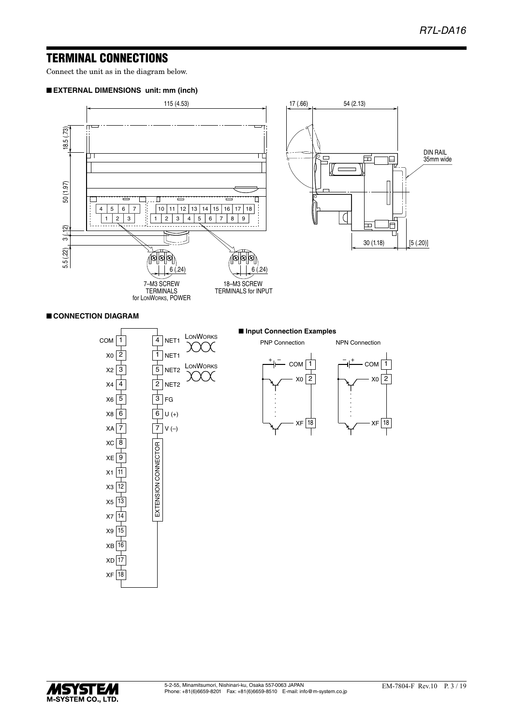### TERMINAL CONNECTIONS

Connect the unit as in the diagram below.

#### ■ **EXTERNAL DIMENSIONS unit: mm (inch)**



#### ■ **CONNECTION DIAGRAM**



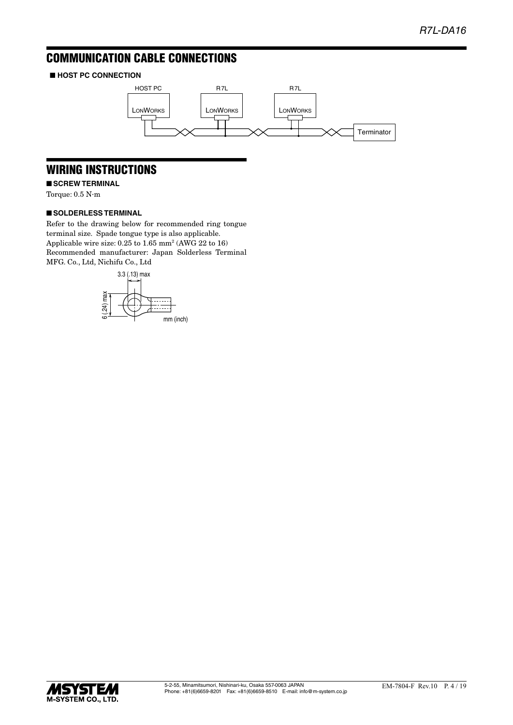## COMMUNICATION CABLE CONNECTIONS

#### ■ **HOST PC CONNECTION**



### WIRING INSTRUCTIONS

■ **SCREW TERMINAL** 

Torque: 0.5 N·m

#### ■ **SOLDERLESS TERMINAL**

Refer to the drawing below for recommended ring tongue terminal size. Spade tongue type is also applicable. Applicable wire size: 0.25 to 1.65 mm<sup>2</sup> (AWG 22 to 16) Recommended manufacturer: Japan Solderless Terminal MFG. Co., Ltd, Nichifu Co., Ltd



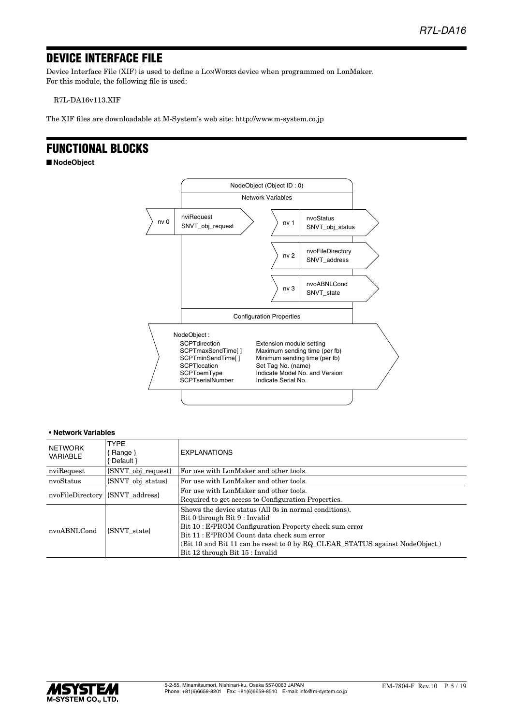### DEVICE INTERFACE FILE

Device Interface File (XIF) is used to define a LONWORKS device when programmed on LonMaker. For this module, the following file is used:

R7L-DA16v113.XIF

The XIF files are downloadable at M-System's web site: http://www.m-system.co.jp

### FUNCTIONAL BLOCKS

■ **NodeObject**



#### **• Network Variables**

| NETWORK<br>VARIABLE              | <b>TYPF</b><br>Range }<br>Default }                          | <b>EXPLANATIONS</b>                                                                                                                                                                                                                                                                                                                          |
|----------------------------------|--------------------------------------------------------------|----------------------------------------------------------------------------------------------------------------------------------------------------------------------------------------------------------------------------------------------------------------------------------------------------------------------------------------------|
| nviRequest                       | {SNVT_obj_request}<br>For use with LonMaker and other tools. |                                                                                                                                                                                                                                                                                                                                              |
| nvoStatus                        | {SNVT obj status}                                            | For use with LonMaker and other tools.                                                                                                                                                                                                                                                                                                       |
| nvoFileDirectory                 | {SNVT address}                                               | For use with LonMaker and other tools.<br>Required to get access to Configuration Properties.                                                                                                                                                                                                                                                |
| nvoABNLCond<br><b>SNVT</b> state |                                                              | Shows the device status (All 0s in normal conditions).<br>Bit 0 through Bit 9 : Invalid<br>Bit 10 : E <sup>2</sup> PROM Configuration Property check sum error<br>Bit 11 : E <sup>2</sup> PROM Count data check sum error<br>(Bit 10 and Bit 11 can be reset to 0 by RQ CLEAR STATUS against NodeObject.)<br>Bit 12 through Bit 15 : Invalid |

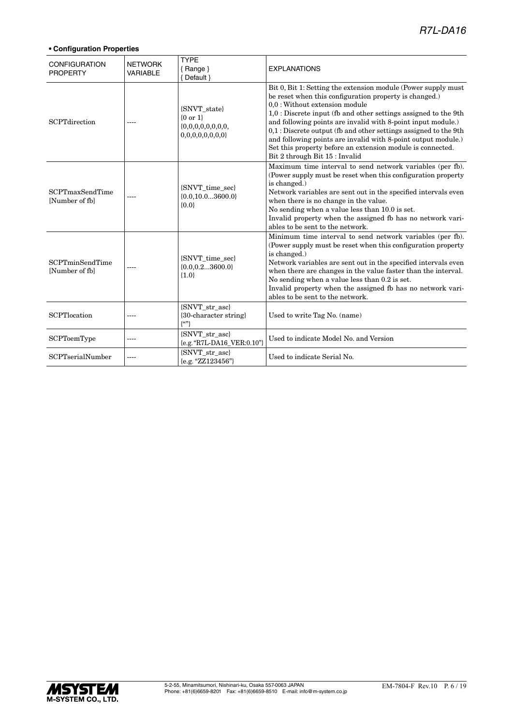### *R7L-DA16*

| <b>CONFIGURATION</b><br><b>PROPERTY</b> | <b>NETWORK</b><br><b>VARIABLE</b> | <b>TYPE</b><br>$\{$ Range $\}$<br>{ Default }           | <b>EXPLANATIONS</b>                                                                                                                                                                                                                                                                                                                                                                                                                                                                                                                    |
|-----------------------------------------|-----------------------------------|---------------------------------------------------------|----------------------------------------------------------------------------------------------------------------------------------------------------------------------------------------------------------------------------------------------------------------------------------------------------------------------------------------------------------------------------------------------------------------------------------------------------------------------------------------------------------------------------------------|
| <b>SCPTdirection</b>                    |                                   | {SNVT state}<br>${0 or 1}$<br>0,0,0,0,0,0,0,0           | Bit 0, Bit 1: Setting the extension module (Power supply must)<br>be reset when this configuration property is changed.)<br>0,0 : Without extension module<br>$1,0$ : Discrete input (fb and other settings assigned to the 9th<br>and following points are invalid with 8-point input module.)<br>$0,1$ : Discrete output (fb and other settings assigned to the 9th<br>and following points are invalid with 8-point output module.)<br>Set this property before an extension module is connected.<br>Bit 2 through Bit 15 : Invalid |
| SCPTmaxSendTime<br>[Number of fb]       |                                   | {SNVT_time_sec}<br>${0.0, 10.03600.0}$<br>${0.0}$       | Maximum time interval to send network variables (per fb).<br>(Power supply must be reset when this configuration property<br>is changed.)<br>Network variables are sent out in the specified intervals even<br>when there is no change in the value.<br>No sending when a value less than 10.0 is set.<br>Invalid property when the assigned fb has no network vari-<br>ables to be sent to the network.                                                                                                                               |
| SCPTminSendTime<br>[Number of fb]       | ----                              | {SNVT_time_sec}<br>${0.0, 0.23600.0}$<br>${1.0}$        | Minimum time interval to send network variables (per fb).<br>(Power supply must be reset when this configuration property<br>is changed.)<br>Network variables are sent out in the specified intervals even<br>when there are changes in the value faster than the interval.<br>No sending when a value less than 0.2 is set.<br>Invalid property when the assigned fb has no network vari-<br>ables to be sent to the network.                                                                                                        |
| <b>SCPTlocation</b>                     | ----                              | {SNVT_str_asc}<br>{30-character string}<br>$\{^{(c)}\}$ | Used to write Tag No. (name)                                                                                                                                                                                                                                                                                                                                                                                                                                                                                                           |
| SCPToemType                             | ----                              | {SNVT_str_asc}<br>{e.g. "R7L-DA16_VER:0.10"}            | Used to indicate Model No. and Version                                                                                                                                                                                                                                                                                                                                                                                                                                                                                                 |
| SCPTserialNumber                        | ----                              | {SNVT_str_asc}<br>${e.g. "ZZ123456"}$                   | Used to indicate Serial No.                                                                                                                                                                                                                                                                                                                                                                                                                                                                                                            |

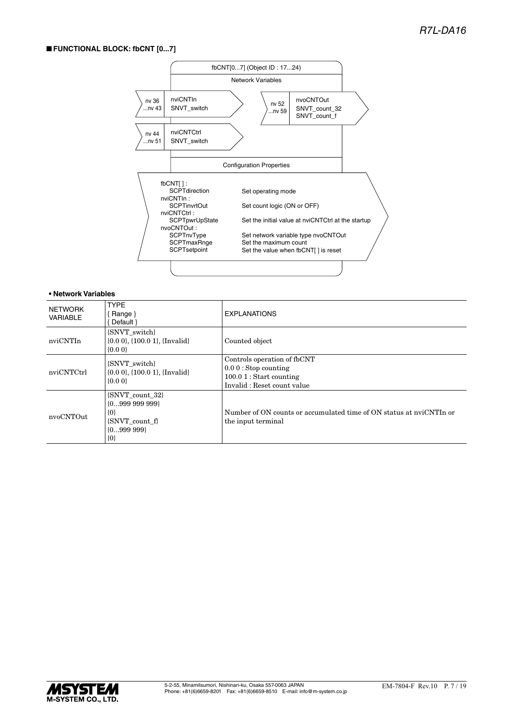#### ■ **FUNCTIONAL BLOCK: fbCNT [0...7]**



#### **• Network Variables**

| NETWORK<br><b>VARIABLE</b> | <b>TYPE</b><br>{Range}<br>Default }                                                     | <b>EXPLANATIONS</b>                                                                                              |
|----------------------------|-----------------------------------------------------------------------------------------|------------------------------------------------------------------------------------------------------------------|
| nviCNTIn                   | {SNVT_switch}<br>$\{0.0\ 0\}$ , $\{100.0\ 1\}$ , $\{Invalid\}$<br>$\{0.0\}$             | Counted object                                                                                                   |
| nviCNTCtrl                 | {SNVT switch}<br>$\{0.0\ 0\}$ , $\{100.0\ 1\}$ , $\{Invalid\}$<br>${0.00}$              | Controls operation of fbCNT<br>$0.00$ : Stop counting<br>$100.01$ : Start counting<br>Invalid: Reset count value |
| nvoCNTOut                  | {SNVT count 32}<br>${099999999}$<br>$\{0\}$<br>{SNVT count f}<br>${0999999}$<br>$\{0\}$ | Number of ON counts or accumulated time of ON status at nyiCNTIn or<br>the input terminal                        |

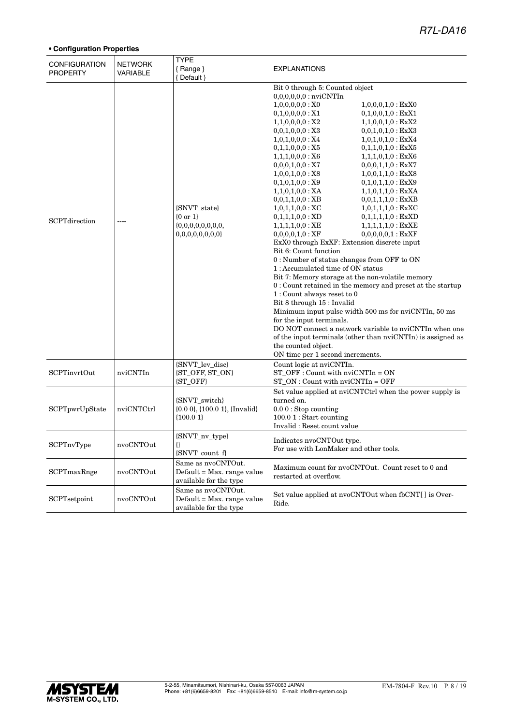### *R7L-DA16*

| <b>CONFIGURATION</b><br><b>PROPERTY</b> | <b>NETWORK</b><br><b>VARIABLE</b> | <b>TYPE</b><br>{Range}<br>{Default }                                       | <b>EXPLANATIONS</b>                                                                                                                                                                                                                                                                                                                                                                                                                                                                                                                                                                                                                                                                                                                                                                                                                                                                                                                                                                                                                                                                                                                                                                                                                                                                                                                                                                                                 |
|-----------------------------------------|-----------------------------------|----------------------------------------------------------------------------|---------------------------------------------------------------------------------------------------------------------------------------------------------------------------------------------------------------------------------------------------------------------------------------------------------------------------------------------------------------------------------------------------------------------------------------------------------------------------------------------------------------------------------------------------------------------------------------------------------------------------------------------------------------------------------------------------------------------------------------------------------------------------------------------------------------------------------------------------------------------------------------------------------------------------------------------------------------------------------------------------------------------------------------------------------------------------------------------------------------------------------------------------------------------------------------------------------------------------------------------------------------------------------------------------------------------------------------------------------------------------------------------------------------------|
| SCPTdirection                           |                                   | {SNVT_state}<br>${0 \text{ or } 1}$<br>0,0,0,0,0,0,0,0                     | Bit 0 through 5: Counted object<br>$0,0,0,0,0,0$ : nvi $\rm CNTIn$<br>$1,0,0,0,0,0:$ XO<br>$1,0,0,0,1,0$ : ExX0<br>0,1,0,0,0,0:X1<br>$0,1,0,0,1,0$ : ExX1<br>1,1,0,0,0,0:X2<br>$1,1,0,0,1,0$ : ExX2<br>$0,0,1,0,1,0$ : ExX3<br>$0,0,1,0,0,0:$ X3<br>$1,0,1,0,0,0$ : X4<br>$1,0,1,0,1,0$ : ExX4<br>0,1,1,0,0,0:X5<br>$0,1,1,0,1,0$ : ExX5<br>1,1,1,0,0,0:X6<br>$1,1,1,0,1,0$ : ExX6<br>$0,0,0,1,0,0:$ X7<br>$0,0,0,1,1,0$ : ExX7<br>1,0,0,1,0,0:X8<br>$1,0,0,1,1,0$ : ExX8<br>$0,1,0,1,1,0$ : ExX9<br>0,1,0,1,0,0:X9<br>$1,1,0,1,0,0$ : XA<br>$1,1,0,1,1,0$ : ExXA<br>$0,0,1,1,0,0:$ XB<br>$0,0,1,1,1,0:$ ExXB<br>$1,0,1,1,0,0$ : XC<br>$1,0,1,1,1,0:$ ExXC<br>$0,1,1,1,0,0:$ XD<br>$0,1,1,1,1,0:$ ExXD<br>$1,1,1,1,0,0$ : XE<br>$1,1,1,1,1,0:$ ExXE<br>$0,0,0,0,0,1$ : ExXF<br>$0,0,0,0,1,0:$ XF<br>ExX0 through ExXF: Extension discrete input<br>Bit 6: Count function<br>0 : Number of status changes from OFF to ON<br>1: Accumulated time of ON status<br>Bit 7: Memory storage at the non-volatile memory<br>$0$ : Count retained in the memory and preset at the startup<br>1: Count always reset to 0<br>Bit 8 through 15 : Invalid<br>Minimum input pulse width 500 ms for nviCNTIn, 50 ms<br>for the input terminals.<br>DO NOT connect a network variable to nviCNTIn when one<br>of the input terminals (other than nviCNTIn) is assigned as<br>the counted object.<br>ON time per 1 second increments. |
| SCPTinvrtOut                            | nviCNTIn                          | {SNVT_lev_disc}<br>{ST_OFF, ST_ON}<br>{ST_OFF}                             | Count logic at nviCNTIn.<br>$ST_OFF: Count with nv/CNTIn = ON$<br>$ST_ON:$ Count with $nv/CNTIn = OFF$                                                                                                                                                                                                                                                                                                                                                                                                                                                                                                                                                                                                                                                                                                                                                                                                                                                                                                                                                                                                                                                                                                                                                                                                                                                                                                              |
| SCPTpwrUpState                          | nviCNTCtrl                        | {SNVT_switch}<br>$\{0.00\}$ , $\{100.01\}$ , $\{Invalid\}$<br>${100.01}$   | Set value applied at nviCNTCtrl when the power supply is<br>turned on.<br>$0.00$ : Stop counting<br>$100.01$ : Start counting<br>Invalid: Reset count value                                                                                                                                                                                                                                                                                                                                                                                                                                                                                                                                                                                                                                                                                                                                                                                                                                                                                                                                                                                                                                                                                                                                                                                                                                                         |
| SCPTnvType                              | nvoCNTOut                         | {SNVT_nv_type}<br>€<br>{SNVT_count_f}                                      | Indicates nyoCNTOut type.<br>For use with LonMaker and other tools.                                                                                                                                                                                                                                                                                                                                                                                                                                                                                                                                                                                                                                                                                                                                                                                                                                                                                                                                                                                                                                                                                                                                                                                                                                                                                                                                                 |
| SCPTmaxRnge                             | nvoCNTOut                         | Same as nvoCNTOut.<br>Default = Max. range value<br>available for the type | Maximum count for nvoCNTOut. Count reset to 0 and<br>restarted at overflow.                                                                                                                                                                                                                                                                                                                                                                                                                                                                                                                                                                                                                                                                                                                                                                                                                                                                                                                                                                                                                                                                                                                                                                                                                                                                                                                                         |
| SCPTsetpoint                            | nvoCNTOut                         | Same as nvoCNTOut.<br>Default = Max. range value<br>available for the type | Set value applied at nvoCNTOut when fbCNT[] is Over-<br>Ride.                                                                                                                                                                                                                                                                                                                                                                                                                                                                                                                                                                                                                                                                                                                                                                                                                                                                                                                                                                                                                                                                                                                                                                                                                                                                                                                                                       |

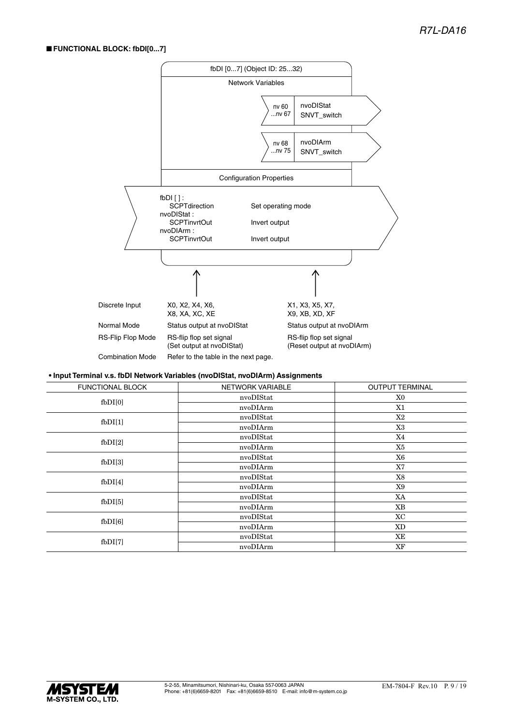#### ■ **FUNCTIONAL BLOCK: fbDI[0...7]**



#### **• Input Terminal v.s. fbDI Network Variables (nvoDIStat, nvoDIArm) Assignments**

| FUNCTIONAL BLOCK               | NETWORK VARIABLE | <b>OUTPUT TERMINAL</b> |
|--------------------------------|------------------|------------------------|
| $f$ <sub>b</sub> $D$ $I$ $[0]$ | nvoDIStat        | X0                     |
|                                | nvoDIArm         | X1                     |
| $f$ <sub>b</sub> $D$ $I$ $[1]$ | nvoDIStat        | X2                     |
|                                | nvoDIArm         | X3                     |
| $f_{\rm bDI[2]}$               | nvoDIStat        | X4                     |
|                                | nvoDIArm         | X5                     |
| $f$ <sub>b</sub> $D$ $I$ $[3]$ | nvoDIStat        | X6                     |
|                                | nvoDIArm         | <b>X7</b>              |
| $f$ <sub>b</sub> $DI[4]$       | nvoDIStat        | X8                     |
|                                | nvoDIArm         | X9                     |
| $f$ <sub>b</sub> $D$ $I$ $[5]$ | nvoDIStat        | XA                     |
|                                | nvoDIArm         | ΧB                     |
| $f$ <sub>b</sub> $D$ $I$ $[6]$ | nvoDIStat        | ХC                     |
|                                | nvoDIArm         | XD.                    |
| $f$ <sub>b</sub> $DI[7]$       | nvoDIStat        | ΧE                     |
|                                | nvoDIArm         | XF                     |
|                                |                  |                        |

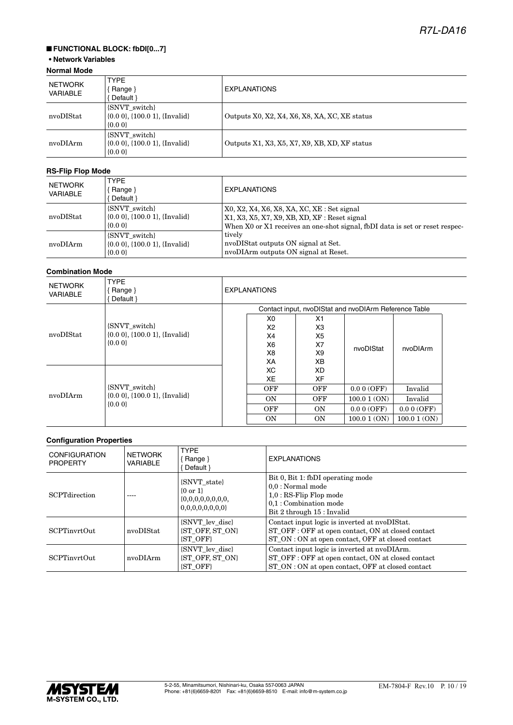### ■ **FUNCTIONAL BLOCK: fbDI[0...7]**

#### **• Network Variables Normal Mode**

| .                          |                                                                             |                                               |  |  |  |
|----------------------------|-----------------------------------------------------------------------------|-----------------------------------------------|--|--|--|
| NETWORK<br><b>VARIABLE</b> | <b>TYPE</b><br>Range }<br>Default }                                         | <b>EXPLANATIONS</b>                           |  |  |  |
| nvoDIStat                  | {SNVT switch}<br>(0.00, (100.01), (Invalid)<br>$\{0.0\}$                    | Outputs X0, X2, X4, X6, X8, XA, XC, XE status |  |  |  |
| nvoDIArm                   | {SNVT switch}<br>$\{0.0\,0\}$ , $\{100.0\,1\}$ , $\{Invalid\}$<br>$\{0.0\}$ | Outputs X1, X3, X5, X7, X9, XB, XD, XF status |  |  |  |

#### **RS-Flip Flop Mode**

| NETWORK<br>VARIABLE | <b>TYPE</b><br>Range $\}$<br>Default }                                      | <b>EXPLANATIONS</b>                                                                                                                                                              |
|---------------------|-----------------------------------------------------------------------------|----------------------------------------------------------------------------------------------------------------------------------------------------------------------------------|
| nvoDIStat           | {SNVT switch}<br>$\{0.0\ 0\}, \{100.0\ 1\}, \{Invalid\}$<br>${0.00}$        | $X0, X2, X4, X6, X8, XA, XC, XE : Set signal$<br>$X1, X3, X5, X7, X9, XB, XD, XF$ : Reset signal<br>When X0 or X1 receives an one-shot signal, fbDI data is set or reset respec- |
| nvoDIArm            | {SNVT switch}<br>$\{0.0\ 0\}$ , $\{100.0\ 1\}$ , $\{Invalid\}$<br>$\{0.0\}$ | tively<br>nvoDIStat outputs ON signal at Set.<br>nvoDIArm outputs ON signal at Reset.                                                                                            |

#### **Combination Mode**

| <b>NETWORK</b><br><b>VARIABLE</b> | <b>TYPE</b><br>Range }<br>Default }                        | <b>EXPLANATIONS</b> |            |                |                                                       |            |
|-----------------------------------|------------------------------------------------------------|---------------------|------------|----------------|-------------------------------------------------------|------------|
|                                   |                                                            |                     |            |                | Contact input, nvoDIStat and nvoDIArm Reference Table |            |
|                                   |                                                            |                     | X0         | X1             |                                                       |            |
|                                   | {SNVT switch}                                              |                     | X2         | X <sub>3</sub> |                                                       |            |
| nvoDIStat                         | $\{0.0\ 0\}$ , $\{100.0\ 1\}$ , $\{Invalid\}$<br>$\{0.0\}$ |                     | X4         | X5             | nvoDIStat                                             |            |
|                                   |                                                            |                     | X6         | X7             |                                                       | nvoDIArm   |
|                                   |                                                            |                     | X8         | X9             |                                                       |            |
|                                   |                                                            |                     | ХA         | XB             |                                                       |            |
|                                   | {SNVT switch}                                              |                     | ХC         | XD.            |                                                       |            |
|                                   |                                                            |                     | XE         | XF             |                                                       |            |
|                                   |                                                            |                     | <b>OFF</b> | <b>OFF</b>     | 0.00(OFF)                                             | Invalid    |
| nvoDIArm                          | $\{0.0\,0\}$ , $\{100.0\,1\}$ , $\{Invalid\}$              |                     | <b>ON</b>  | <b>OFF</b>     | 100.01(ON)                                            | Invalid    |
|                                   | $\{0.0\}$                                                  |                     | OFF        | <b>ON</b>      | 0.00(OFF)                                             | 0.00(OFF)  |
|                                   |                                                            |                     | <b>ON</b>  | <b>ON</b>      | 100.01(ON)                                            | 100.01(0N) |

| <b>CONFIGURATION</b><br><b>PROPERTY</b> | <b>NETWORK</b><br><b>VARIABLE</b> | <b>TYPE</b><br>Range }<br>Default }                           | <b>EXPLANATIONS</b>                                                                                                                                      |
|-----------------------------------------|-----------------------------------|---------------------------------------------------------------|----------------------------------------------------------------------------------------------------------------------------------------------------------|
| <b>SCPTdirection</b>                    |                                   | <b>SNVT</b> state<br>$\{0 \text{ or } 1\}$<br>0,0,0,0,0,0,0,0 | Bit 0, Bit 1: fbDI operating mode<br>$0.0:$ Normal mode<br>$1.0:RS\text{-}Flip$ Flop mode<br>$0.1:$ Combination mode<br>Bit 2 through 15 : Invalid       |
| <b>SCPTinyrtOut</b>                     | nvoDIStat                         | {SNVT lev disc}<br><b>ST OFF. ST ON!</b><br><b>ST OFF</b>     | Contact input logic is inverted at nvoDIStat.<br>ST OFF : OFF at open contact, ON at closed contact<br>ST_ON : ON at open contact, OFF at closed contact |
| <b>SCPTinvrtOut</b>                     | nvoDIArm                          | {SNVT lev disc}<br><b>ST OFF, ST ON</b><br><b>(ST OFF)</b>    | Contact input logic is inverted at nvoDIArm.<br>ST_OFF : OFF at open contact, ON at closed contact<br>ST ON : ON at open contact, OFF at closed contact  |

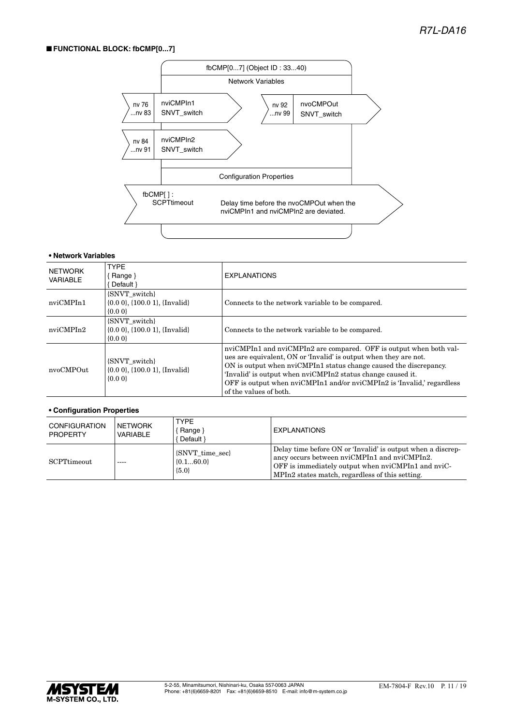#### ■ **FUNCTIONAL BLOCK: fbCMP[0...7]**



#### **• Network Variables**

| <b>NETWORK</b><br><b>VARIABLE</b> | <b>TYPE</b><br>Range $\}$<br>Default }                                      | <b>EXPLANATIONS</b>                                                                                                                                                                                                                                                                                                                                                            |
|-----------------------------------|-----------------------------------------------------------------------------|--------------------------------------------------------------------------------------------------------------------------------------------------------------------------------------------------------------------------------------------------------------------------------------------------------------------------------------------------------------------------------|
| nviCMPIn1                         | {SNVT switch}<br>$\{0.0\ 0\}$ , $\{100.0\ 1\}$ , $\{Invalid\}$<br>$\{0.0\}$ | Connects to the network variable to be compared.                                                                                                                                                                                                                                                                                                                               |
| nviCMPIn2                         | {SNVT switch}<br>$\{0.0\,0\}$ , $\{100.0\,1\}$ , $\{Invalid\}$<br>${0.00}$  | Connects to the network variable to be compared.                                                                                                                                                                                                                                                                                                                               |
| nvoCMPOut                         | <b>SNVT</b> switch<br>$\{0.0\ 0\}, \{100.0\ 1\}, \{Invalid\}$<br>${0.00}$   | nviCMPIn1 and nviCMPIn2 are compared. OFF is output when both val-<br>ues are equivalent, ON or 'Invalid' is output when they are not.<br>ON is output when nviCMPIn1 status change caused the discrepancy.<br>'Invalid' is output when nyiCMPIn2 status change caused it.<br>OFF is output when nviCMPIn1 and/or nviCMPIn2 is 'Invalid,' regardless<br>of the values of both. |

| <b>CONFIGURATION</b><br><b>PROPERTY</b> | l NETWORK<br>VARIABLE | <b>TYPE</b><br>Range }<br>Default }            | <b>EXPLANATIONS</b>                                                                                                                                                                                                  |
|-----------------------------------------|-----------------------|------------------------------------------------|----------------------------------------------------------------------------------------------------------------------------------------------------------------------------------------------------------------------|
| $\operatorname{SCPTtimeout}$            | $- - - -$             | <b>SNVT</b> time sec<br>${0.160.0}$<br>${5.0}$ | Delay time before ON or 'Invalid' is output when a discrep-<br>ancy occurs between nviCMPIn1 and nviCMPIn2.<br>OFF is immediately output when nviCMPIn1 and nviC-<br>MPIn2 states match, regardless of this setting. |

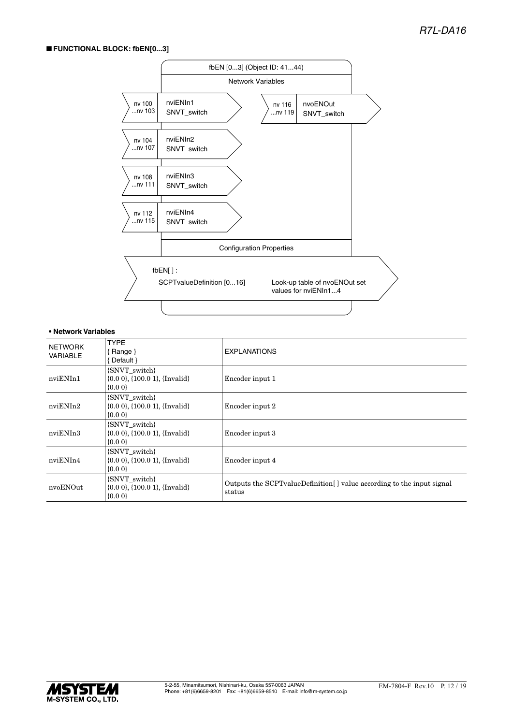#### ■ **FUNCTIONAL BLOCK: fbEN[0...3]**



#### **• Network Variables**

| <b>NETWORK</b><br><b>VARIABLE</b> | <b>TYPE</b><br>Range }<br>Default $\}$                                     | <b>EXPLANATIONS</b>                                                                |
|-----------------------------------|----------------------------------------------------------------------------|------------------------------------------------------------------------------------|
| nviENIn1                          | {SNVT switch}<br>$\{0.0\ 0\}$ , $\{100.0\ 1\}$ , $\{Invalid\}$<br>${0.00}$ | Encoder input 1                                                                    |
| nviENIn2                          | {SNVT switch}<br>$\{0.0\ 0\}$ , $\{100.0\ 1\}$ , $\{Invalid\}$<br>${0.00}$ | Encoder input 2                                                                    |
| nviENIn3                          | {SNVT switch}<br>$\{0.0\ 0\}$ , $\{100.0\ 1\}$ , $\{Invalid\}$<br>${0.00}$ | Encoder input 3                                                                    |
| nviENIn4                          | {SNVT switch}<br>$\{0.0\ 0\}$ , $\{100.0\ 1\}$ , $\{Invalid\}$<br>${0.00}$ | Encoder input 4                                                                    |
| nvoENOut                          | {SNVT switch}<br>$\{0.0\ 0\}$ , $\{100.0\ 1\}$ , $\{Invalid\}$<br>${0.00}$ | Outputs the SCPT value Definition [] value according to the input signal<br>status |

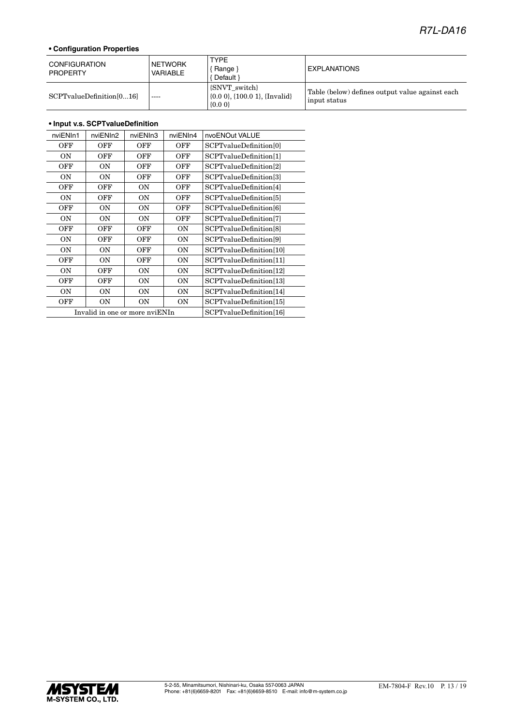### *R7L-DA16*

#### **• Configuration Properties**

| <b>CONFIGURATION</b><br><b>PROPERTY</b> | <b>NETWORK</b><br>VARIABLE | <b>TYPE</b><br>Range }<br>Default }                        | <b>EXPLANATIONS</b>                                             |
|-----------------------------------------|----------------------------|------------------------------------------------------------|-----------------------------------------------------------------|
| SCPTvalueDefinition[016]                | $\frac{1}{2}$              | [SNVT switch]<br>$(0.00, 1.100.01,$ {Invalid}<br>$\{0.0\}$ | Table (below) defines output value against each<br>input status |

#### **• Input v.s. SCPTvalueDefinition**

| nviENIn1  | nviENIn2                       | nviENIn3                | nviENIn4  | nvoENOut VALUE          |
|-----------|--------------------------------|-------------------------|-----------|-------------------------|
| OFF       | OFF                            | OFF                     | OFF       | SCPTvalueDefinition[0]  |
| <b>ON</b> | OFF                            | OFF                     | OFF       | SCPTvalueDefinition[1]  |
| OFF       | <b>ON</b>                      | OFF                     | OFF       | SCPTvalueDefinition[2]  |
| ON        | <b>ON</b>                      | OFF                     | OFF       | SCPTvalueDefinition[3]  |
| OFF       | OFF                            | ON                      | OFF       | SCPTvalueDefinition[4]  |
| <b>ON</b> | OFF                            | ON                      | OFF       | SCPTvalueDefinition[5]  |
| OFF       | <b>ON</b>                      | ON                      | OFF       | SCPTvalueDefinition[6]  |
| <b>ON</b> | <b>ON</b>                      | ON                      | OFF       | SCPTvalueDefinition[7]  |
| OFF       | OFF                            | OFF                     | ON        | SCPTvalueDefinition[8]  |
| ON        | OFF                            | OFF                     | ON        | SCPTvalueDefinition[9]  |
| ON        | <b>ON</b>                      | OFF                     | ΟN        | SCPTvalueDefinition[10] |
| OFF       | <b>ON</b>                      | OFF                     | <b>ON</b> | SCPTvalueDefinition[11] |
| <b>ON</b> | OFF                            | ON                      | <b>ON</b> | SCPTvalueDefinition[12] |
| OFF       | OFF                            | ON                      | ΟN        | SCPTvalueDefinition[13] |
| ON        | <b>ON</b>                      | ON                      | ΟN        | SCPTvalueDefinition[14] |
| OFF       | ΟN                             | ON                      | ΟN        | SCPTvalueDefinition[15] |
|           | Invalid in one or more nviENIn | SCPTvalueDefinition[16] |           |                         |

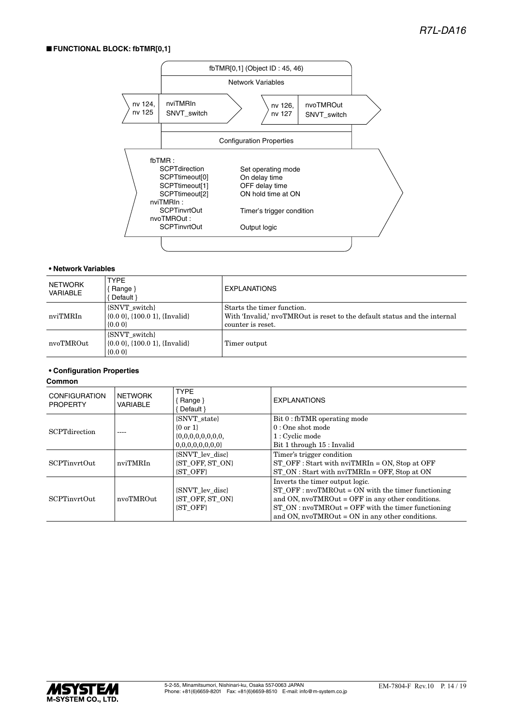#### ■ **FUNCTIONAL BLOCK: fbTMR[0,1]**



#### **• Network Variables**

| NETWORK<br>VARIABLE | TYPE<br>Range }<br>Default }                                                | <b>EXPLANATIONS</b>                                                                                                          |
|---------------------|-----------------------------------------------------------------------------|------------------------------------------------------------------------------------------------------------------------------|
| nviTMRIn            | {SNVT switch}<br>$\{0.0\ 0\}$ , $\{100.0\ 1\}$ , $\{Invalid\}$<br>$\{0.0\}$ | Starts the timer function.<br>With 'Invalid,' nvoTMROut is reset to the default status and the internal<br>counter is reset. |
| nvoTMROut           | {SNVT switch}<br>$\{0.0\,0\}$ , $\{100.0\,1\}$ , $\{Invalid\}$<br>$\{0.0\}$ | Timer output                                                                                                                 |

#### **• Configuration Properties**

#### **Common**

| <b>CONFIGURATION</b><br><b>PROPERTY</b> | <b>NETWORK</b><br>VARIABLE | <b>TYPF</b><br>Bange }<br>Default \                             | <b>EXPLANATIONS</b>                                                                                                                                                                                                                                         |
|-----------------------------------------|----------------------------|-----------------------------------------------------------------|-------------------------------------------------------------------------------------------------------------------------------------------------------------------------------------------------------------------------------------------------------------|
| <b>SCPT</b> direction                   |                            | <b>SNVT</b> state<br>$\{0 \text{ or } 1\}$<br>0,0,0,0,0,0,0,0   | Bit 0 : fbTMR operating mode<br>$0:$ One shot mode<br>1 : Cyclic mode<br>Bit 1 through 15 : Invalid                                                                                                                                                         |
| <b>SCPTinyrtOut</b>                     | nviTMRIn                   | <b>SNVT</b> lev disc<br><b>ST OFF, ST ON</b><br><b>(ST OFF)</b> | Timer's trigger condition<br>$ST_OFF: Start with nvITMRIn = ON, Stop at OFF$<br>$ST ON$ : Start with nvi $TMRIn = OFF$ , Stop at ON                                                                                                                         |
| <b>SCPTinyrtOut</b>                     | nvoTMROut                  | <b>SNVT</b> lev disc<br><b>ST OFF, ST ON</b><br><b>(ST OFF)</b> | Inverts the timer output logic.<br>$ST_O$ FF: $nvoTMROut = ON$ with the timer functioning<br>and ON, $nvoTMROut = OFF$ in any other conditions.<br>$ST ON: nvoTMROut = OFF with the timer functioning$<br>and ON, $nvoTMROut = ON$ in any other conditions. |

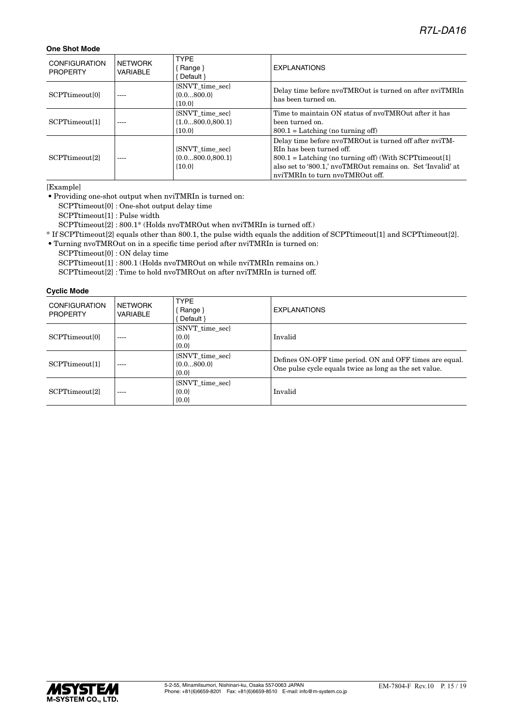#### **One Shot Mode**

| <b>CONFIGURATION</b><br><b>PROPERTY</b> | NETWORK<br>VARIABLE | <b>TYPF</b><br>Range }<br>Default }                    | <b>EXPLANATIONS</b>                                                                                                                                                                                                                                  |
|-----------------------------------------|---------------------|--------------------------------------------------------|------------------------------------------------------------------------------------------------------------------------------------------------------------------------------------------------------------------------------------------------------|
| SCPTtimeout <sup>[0]</sup>              | $- - - -$           | <b>SNVT</b> time sec<br>${0.0800.0}$<br>${10.0}$       | Delay time before nyoTMROut is turned on after nyiTMRIn<br>has been turned on.                                                                                                                                                                       |
| SCPTtimeout[1]                          |                     | {SNVT time sec}<br>${1.0800.0,800.1}$<br>${10.0}$      | Time to maintain ON status of nyoTMROut after it has<br>been turned on.<br>$800.1 =$ Latching (no turning off)                                                                                                                                       |
| SCPTtimeout <sup>[2]</sup>              | ----                | <b>SNVT</b> time sec<br>${0.0800.0,800.1}$<br>${10.0}$ | Delay time before nyoTMROut is turned off after nyiTM-<br>RIn has been turned off.<br>$800.1 =$ Latching (no turning off) (With SCPT times out [1]<br>also set to '800.1,' nvoTMROut remains on. Set 'Invalid' at<br>nviTMRIn to turn nyoTMROut off. |

[Example]

• Providing one-shot output when nviTMRIn is turned on:

SCPTtimeout[0] : One-shot output delay time

SCPTtimeout[1] : Pulse width

SCPTtimeout[2] : 800.1\* (Holds nvoTMROut when nviTMRIn is turned off.)

\* If SCPTtimeout[2] equals other than 800.1, the pulse width equals the addition of SCPTtimeout[1] and SCPTtimeout[2].

• Turning nvoTMROut on in a specific time period after nviTMRIn is turned on:

SCPTtimeout[0] : ON delay time

SCPTtimeout[1] : 800.1 (Holds nvoTMROut on while nviTMRIn remains on.)

SCPTtimeout[2] : Time to hold nvoTMROut on after nviTMRIn is turned off.

#### **Cyclic Mode**

| <b>CONFIGURATION</b><br><b>PROPERTY</b> | <b>NETWORK</b><br>VARIABLE | <b>TYPE</b><br>Range }<br>Default }               | <b>EXPLANATIONS</b>                                                                                               |
|-----------------------------------------|----------------------------|---------------------------------------------------|-------------------------------------------------------------------------------------------------------------------|
| SCPTtimeout <sup>[0]</sup>              | ----                       | <b>SNVT</b> time sec<br>${0.0}$<br>${0.0}$        | Invalid                                                                                                           |
| SCPTtimeout <sup>[1]</sup>              | ----                       | <b>SNVT</b> time sec<br>$\{0.0800.0\}$<br>${0.0}$ | Defines ON-OFF time period. ON and OFF times are equal.<br>One pulse cycle equals twice as long as the set value. |
| SCPTtimeout <sup>[2]</sup>              | ----                       | <b>SNVT</b> time sec<br>${0.0}$<br>${0.0}$        | Invalid                                                                                                           |

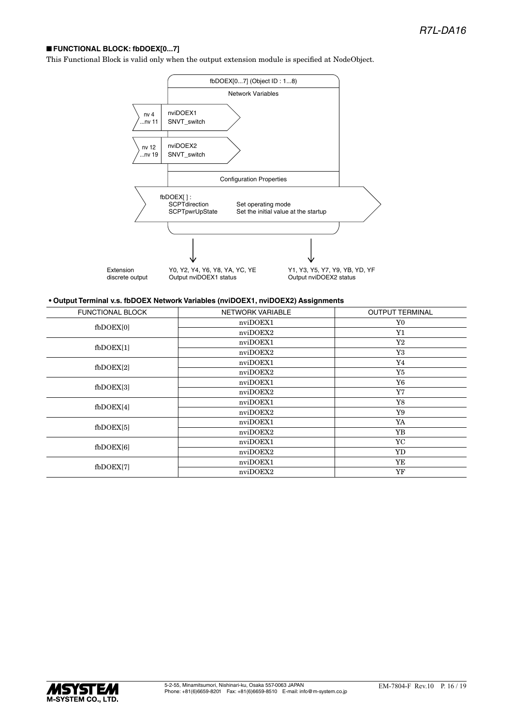#### ■ **FUNCTIONAL BLOCK: fbDOEX[0...7]**

This Functional Block is valid only when the output extension module is specified at NodeObject.



#### **• Output Terminal v.s. fbDOEX Network Variables (nviDOEX1, nviDOEX2) Assignments**

| <b>FUNCTIONAL BLOCK</b> | <b>NETWORK VARIABLE</b> | <b>OUTPUT TERMINAL</b> |
|-------------------------|-------------------------|------------------------|
| $f_{\rm bDOEX[0]}$      | nviDOEX1                | Y0                     |
|                         | nviDOEX2                | Y1                     |
| $f_{\rm bDOEX[1]}$      | nviDOEX1                | $\rm Y2$               |
|                         | nviDOEX2                | Y3                     |
| $f_{\rm bDOEX[2]}$      | nviDOEX1                | Y4                     |
|                         | nviDOEX2                | Y5                     |
| $f_{\text{bDOEX[3]}}$   | nviDOEX1                | Y6                     |
|                         | nviDOEX2                | Y7                     |
| $f_{\text{bDOEX[4]}}$   | nviDOEX1                | Y8                     |
|                         | nviDOEX2                | Y9                     |
| $f_{\text{bDOEX}[5]}$   | nviDOEX1                | YA                     |
|                         | nviDOEX2                | YB                     |
| $f_{\rm bDOEX[6]}$      | nviDOEX1                | YC                     |
|                         | nviDOEX2                | YD                     |
| fbDOEX[7]               | nviDOEX1                | YE                     |
|                         | nviDOEX2                | YF                     |

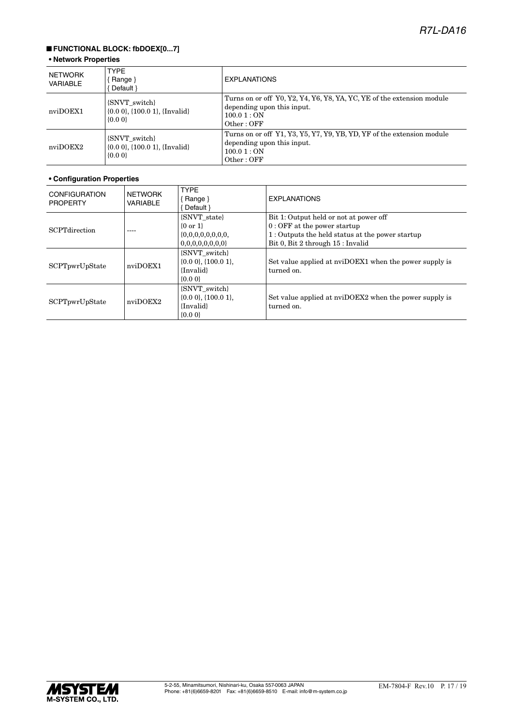### ■ **FUNCTIONAL BLOCK: fbDOEX[0...7]**

#### **• Network Properties**

| NETWORK<br><b>VARIABLE</b> | <b>TYPE</b><br>Range $\}$<br>Default }                                          | <b>EXPLANATIONS</b>                                                                                                              |
|----------------------------|---------------------------------------------------------------------------------|----------------------------------------------------------------------------------------------------------------------------------|
| nviDOEX1                   | {SNVT switch}<br>$\{0.0\ 0\}$ , $\{100.0\ 1\}$ , $\{Invalid\}$<br>$\{0.0\}$     | Turns on or off Y0, Y2, Y4, Y6, Y8, YA, YC, YE of the extension module<br>depending upon this input.<br>100.01:ON<br>Other:OFF   |
| nviDOEX2                   | <b>SNVT</b> switch<br>$\{0.0\ 0\}$ , $\{100.0\ 1\}$ , $\{Invalid\}$<br>${0.00}$ | Turns on or off Y1, Y3, Y5, Y7, Y9, YB, YD, YF of the extension module<br>depending upon this input.<br>100.01 : ON<br>Other:OFF |

| <b>CONFIGURATION</b><br><b>PROPERTY</b> | <b>NETWORK</b><br><b>VARIABLE</b> | <b>TYPE</b><br>$\{$ Range $\}$<br>Default }                               | <b>EXPLANATIONS</b>                                                                                                                                             |
|-----------------------------------------|-----------------------------------|---------------------------------------------------------------------------|-----------------------------------------------------------------------------------------------------------------------------------------------------------------|
| <b>SCPTdirection</b>                    | ----                              | {SNVT state}<br>$\{0 \text{ or } 1\}$<br>0,0,0,0,0,0,0,0<br>{SNVT switch} | Bit 1: Output held or not at power off<br>$0:$ OFF at the power startup<br>1: Outputs the held status at the power startup<br>Bit 0, Bit 2 through 15 : Invalid |
| SCPTpwrUpState                          | nviDOEX1                          | $\{0.0\,0\},\{100.0\,1\}.$<br>{Invalid}<br>$\{0.0\}$                      | Set value applied at nviDOEX1 when the power supply is<br>turned on.                                                                                            |
| SCPTpwrUpState                          | nviDOEX2                          | {SNVT switch}<br>$\{0.0\,0\},\{100.0\,1\}.$<br>{Invalid}<br>$\{0.0\}$     | Set value applied at nviDOEX2 when the power supply is<br>turned on.                                                                                            |

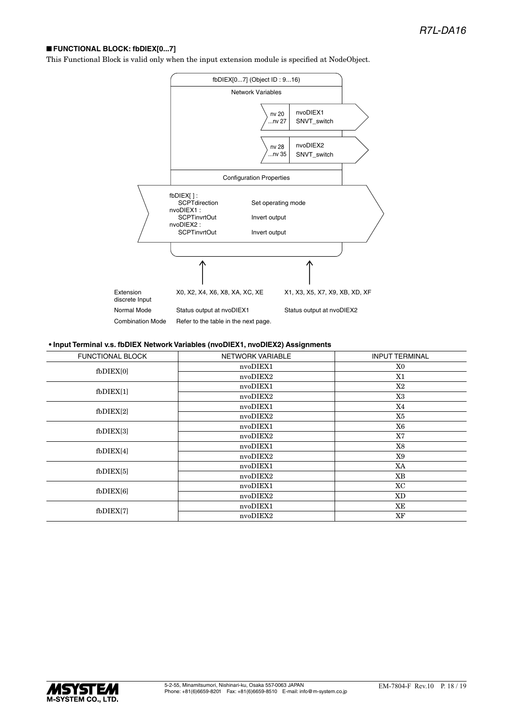#### ■ **FUNCTIONAL BLOCK: fbDIEX[0...7]**

This Functional Block is valid only when the input extension module is specified at NodeObject.



#### **• Input Terminal v.s. fbDIEX Network Variables (nvoDIEX1, nvoDIEX2) Assignments**

| <b>FUNCTIONAL BLOCK</b> | NETWORK VARIABLE | <b>INPUT TERMINAL</b> |
|-------------------------|------------------|-----------------------|
| $f$ b $DIEX[0]$         | nvoDIEX1         | X0                    |
|                         | nvoDIEX2         | X1                    |
|                         | nvoDIEX1         | X2                    |
| $f$ b $DIEX[1]$         | nvoDIEX2         | X3                    |
| $f$ b $DIEX[2]$         | nvoDIEX1         | X4                    |
|                         | nvoDIEX2         | X5                    |
|                         | nvoDIEX1         | X6                    |
| $f$ b $DIEX[3]$         | nvoDIEX2         | X7                    |
| $f$ b $DIEX[4]$         | nvoDIEX1         | X8                    |
|                         | nvoDIEX2         | X9                    |
| $f_{\rm bDIEX[5]}$      | nvoDIEX1         | XA                    |
|                         | nvoDIEX2         | XB                    |
| $f$ b $DIEX[6]$         | nvoDIEX1         | XC                    |
|                         | nvoDIEX2         | XD                    |
| fbDIEX[7]               | nvoDIEX1         | XE                    |
|                         | nvoDIEX2         | XF                    |
|                         |                  |                       |